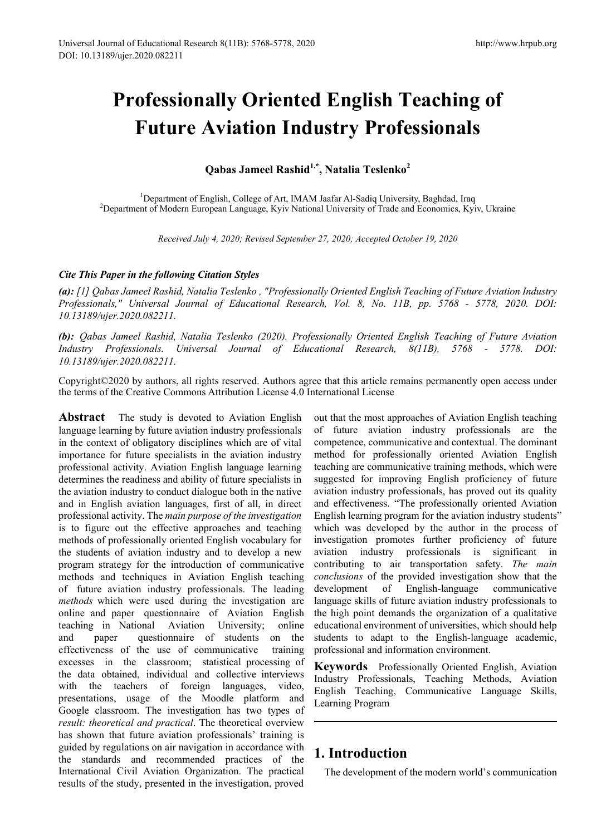# **Professionally Oriented English Teaching of Future Aviation Industry Professionals**

**Qabas Jameel Rashid1,\*, Natalia Teslenko2**

<sup>1</sup>Department of English, College of Art, IMAM Jaafar Al-Sadiq University, Baghdad, Iraq Department of English, College of Art, IMAM Jaafar Al-Sadiq University, Baghdad, Iraq <sup>2</sup> Department of Modern European Language, Kyiv National University of Trade and Economics, Kyiv, Ukraine

*Received July 4, 2020; Revised September 27, 2020; Accepted October 19, 2020*

## *Cite This Paper in the following Citation Styles*

*(a): [1] Qabas Jameel Rashid, Natalia Teslenko , "Professionally Oriented English Teaching of Future Aviation Industry Professionals," Universal Journal of Educational Research, Vol. 8, No. 11B, pp. 5768 - 5778, 2020. DOI: 10.13189/ujer.2020.082211.* 

*(b): Qabas Jameel Rashid, Natalia Teslenko (2020). Professionally Oriented English Teaching of Future Aviation Industry Professionals. Universal Journal of Educational Research, 8(11B), 5768 - 5778. DOI: 10.13189/ujer.2020.082211.* 

Copyright©2020 by authors, all rights reserved. Authors agree that this article remains permanently open access under the terms of the Creative Commons Attribution License 4.0 International License

**Abstract** The study is devoted to Aviation English language learning by future aviation industry professionals in the context of obligatory disciplines which are of vital importance for future specialists in the aviation industry professional activity. Aviation English language learning determines the readiness and ability of future specialists in the aviation industry to conduct dialogue both in the native and in English aviation languages, first of all, in direct professional activity. The *main purpose of the investigation* is to figure out the effective approaches and teaching methods of professionally oriented English vocabulary for the students of aviation industry and to develop a new program strategy for the introduction of communicative methods and techniques in Aviation English teaching of future aviation industry professionals. The leading *methods* which were used during the investigation are online and paper questionnaire of Aviation English teaching in National Aviation University; online and paper questionnaire of students on the effectiveness of the use of communicative training excesses in the classroom; statistical processing of the data obtained, individual and collective interviews with the teachers of foreign languages, video, presentations, usage of the Moodle platform and Google classroom. The investigation has two types of *result: theoretical and practical*. The theoretical overview has shown that future aviation professionals' training is guided by regulations on air navigation in accordance with the standards and recommended practices of the International Civil Aviation Organization. The practical results of the study, presented in the investigation, proved

out that the most approaches of Aviation English teaching of future aviation industry professionals are the competence, communicative and contextual. The dominant method for professionally oriented Aviation English teaching are communicative training methods, which were suggested for improving English proficiency of future aviation industry professionals, has proved out its quality and effectiveness. "The professionally oriented Aviation English learning program for the aviation industry students" which was developed by the author in the process of investigation promotes further proficiency of future aviation industry professionals is significant in contributing to air transportation safety. *The main conclusions* of the provided investigation show that the development of English-language communicative language skills of future aviation industry professionals to the high point demands the organization of a qualitative educational environment of universities, which should help students to adapt to the English-language academic, professional and information environment.

**Keywords** Professionally Oriented English, Aviation Industry Professionals, Teaching Methods, Aviation English Teaching, Communicative Language Skills, Learning Program

# **1. Introduction**

The development of the modern world's communication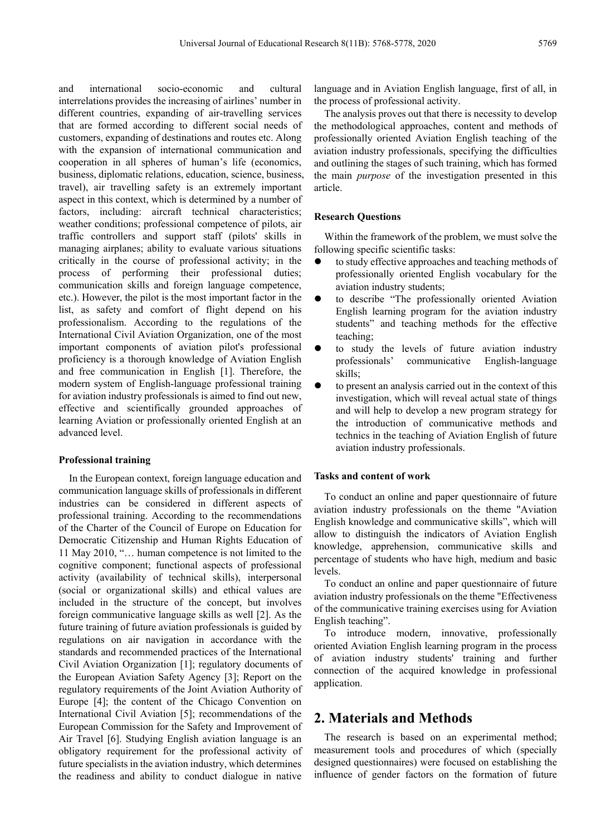and international socio-economic and cultural interrelations provides the increasing of airlines' number in different countries, expanding of air-travelling services that are formed according to different social needs of customers, expanding of destinations and routes etc. Along with the expansion of international communication and cooperation in all spheres of human's life (economics, business, diplomatic relations, education, science, business, travel), air travelling safety is an extremely important aspect in this context, which is determined by a number of factors, including: aircraft technical characteristics; weather conditions; professional competence of pilots, air traffic controllers and support staff (pilots' skills in managing airplanes; ability to evaluate various situations critically in the course of professional activity; in the process of performing their professional duties; communication skills and foreign language competence, etc.). However, the pilot is the most important factor in the list, as safety and comfort of flight depend on his professionalism. According to the regulations of the International Civil Aviation Organization, one of the most important components of aviation pilot's professional proficiency is a thorough knowledge of Aviation English and free communication in English [1]. Therefore, the modern system of English-language professional training for aviation industry professionals is aimed to find out new, effective and scientifically grounded approaches of learning Aviation or professionally oriented English at an advanced level.

### **Professional training**

In the European context, foreign language education and communication language skills of professionals in different industries can be considered in different aspects of professional training. According to the recommendations of the Charter of the Council of Europe on Education for Democratic Citizenship and Human Rights Education of 11 May 2010, "… human competence is not limited to the cognitive component; functional aspects of professional activity (availability of technical skills), interpersonal (social or organizational skills) and ethical values are included in the structure of the concept, but involves foreign communicative language skills as well [2]. As the future training of future aviation professionals is guided by regulations on air navigation in accordance with the standards and recommended practices of the International Civil Aviation Organization [1]; regulatory documents of the European Aviation Safety Agency [3]; Report on the regulatory requirements of the Joint Aviation Authority of Europe [4]; the content of the Chicago Convention on International Civil Aviation [5]; recommendations of the European Commission for the Safety and Improvement of Air Travel [6]. Studying English aviation language is an obligatory requirement for the professional activity of future specialists in the aviation industry, which determines the readiness and ability to conduct dialogue in native

language and in Aviation English language, first of all, in the process of professional activity.

The analysis proves out that there is necessity to develop the methodological approaches, content and methods of professionally oriented Aviation English teaching of the aviation industry professionals, specifying the difficulties and outlining the stages of such training, which has formed the main *purpose* of the investigation presented in this article.

## **Research Questions**

Within the framework of the problem, we must solve the following specific scientific tasks:

- to study effective approaches and teaching methods of professionally oriented English vocabulary for the aviation industry students;
- to describe "The professionally oriented Aviation English learning program for the aviation industry students" and teaching methods for the effective teaching;
- to study the levels of future aviation industry professionals' communicative English-language skills;
- to present an analysis carried out in the context of this investigation, which will reveal actual state of things and will help to develop a new program strategy for the introduction of communicative methods and technics in the teaching of Aviation English of future aviation industry professionals.

### **Tasks and content of work**

To conduct an online and paper questionnaire of future aviation industry professionals on the theme "Aviation English knowledge and communicative skills", which will allow to distinguish the indicators of Aviation English knowledge, apprehension, communicative skills and percentage of students who have high, medium and basic levels.

To conduct an online and paper questionnaire of future aviation industry professionals on the theme "Effectiveness of the communicative training exercises using for Aviation English teaching".

To introduce modern, innovative, professionally oriented Aviation English learning program in the process of aviation industry students' training and further connection of the acquired knowledge in professional application.

# **2. Materials and Methods**

The research is based on an experimental method; measurement tools and procedures of which (specially designed questionnaires) were focused on establishing the influence of gender factors on the formation of future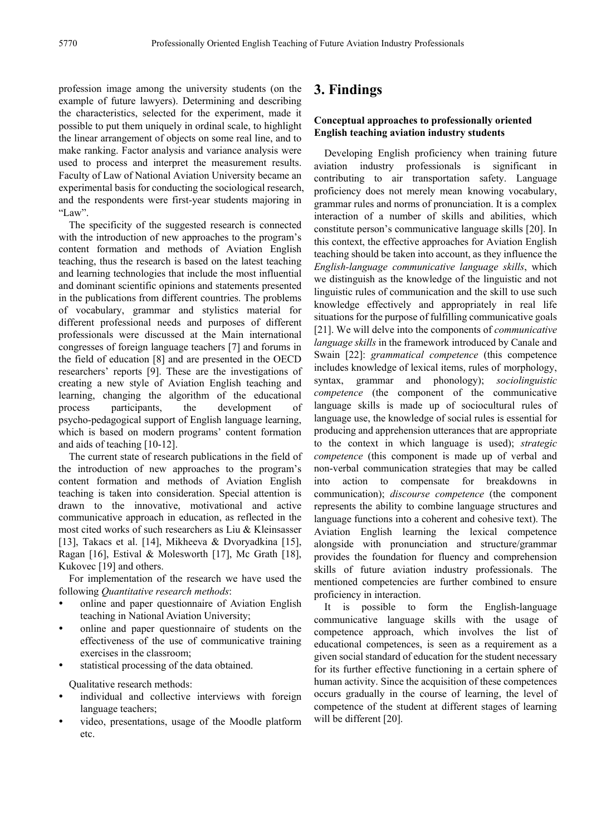profession image among the university students (on the example of future lawyers). Determining and describing the characteristics, selected for the experiment, made it possible to put them uniquely in ordinal scale, to highlight the linear arrangement of objects on some real line, and to make ranking. Factor analysis and variance analysis were used to process and interpret the measurement results. Faculty of Law of National Aviation University became an experimental basis for conducting the sociological research, and the respondents were first-year students majoring in "Law".

The specificity of the suggested research is connected with the introduction of new approaches to the program's content formation and methods of Aviation English teaching, thus the research is based on the latest teaching and learning technologies that include the most influential and dominant scientific opinions and statements presented in the publications from different countries. The problems of vocabulary, grammar and stylistics material for different professional needs and purposes of different professionals were discussed at the Main international congresses of foreign language teachers [7] and forums in the field of education [8] and are presented in the OECD researchers' reports [9]. These are the investigations of creating a new style of Aviation English teaching and learning, changing the algorithm of the educational process participants, the development of psycho-pedagogical support of English language learning, which is based on modern programs' content formation and aids of teaching [10-12].

The current state of research publications in the field of the introduction of new approaches to the program's content formation and methods of Aviation English teaching is taken into consideration. Special attention is drawn to the innovative, motivational and active communicative approach in education, as reflected in the most cited works of such researchers as Liu & Kleinsasser [13], Takacs et al. [14], Mikheeva & Dvoryadkina [15], Ragan [16], Estival & Molesworth [17], Mc Grath [18], Kukovec [19] and others.

For implementation of the research we have used the following *Quantitative research methods*:

- online and paper questionnaire of Aviation English teaching in National Aviation University;
- online and paper questionnaire of students on the effectiveness of the use of communicative training exercises in the classroom;
- statistical processing of the data obtained.

Qualitative research methods:

- individual and collective interviews with foreign language teachers;
- video, presentations, usage of the Moodle platform etc.

# **3. Findings**

## **Conceptual approaches to professionally oriented English teaching aviation industry students**

Developing English proficiency when training future aviation industry professionals is significant in contributing to air transportation safety. Language proficiency does not merely mean knowing vocabulary, grammar rules and norms of pronunciation. It is a complex interaction of a number of skills and abilities, which constitute person's communicative language skills [20]. In this context, the effective approaches for Aviation English teaching should be taken into account, as they influence the *English-language communicative language skills*, which we distinguish as the knowledge of the linguistic and not linguistic rules of communication and the skill to use such knowledge effectively and appropriately in real life situations for the purpose of fulfilling communicative goals [21]. We will delve into the components of *communicative language skills* in the framework introduced by Canale and Swain [22]: *grammatical competence* (this competence includes knowledge of lexical items, rules of morphology, syntax, grammar and phonology); *sociolinguistic competence* (the component of the communicative language skills is made up of sociocultural rules of language use, the knowledge of social rules is essential for producing and apprehension utterances that are appropriate to the context in which language is used); *strategic competence* (this component is made up of verbal and non-verbal communication strategies that may be called into action to compensate for breakdowns in communication); *discourse competence* (the component represents the ability to combine language structures and language functions into a coherent and cohesive text). The Aviation English learning the lexical competence alongside with pronunciation and structure/grammar provides the foundation for fluency and comprehension skills of future aviation industry professionals. The mentioned competencies are further combined to ensure proficiency in interaction.

It is possible to form the English-language communicative language skills with the usage of competence approach, which involves the list of educational competences, is seen as a requirement as a given social standard of education for the student necessary for its further effective functioning in a certain sphere of human activity. Since the acquisition of these competences occurs gradually in the course of learning, the level of competence of the student at different stages of learning will be different [20].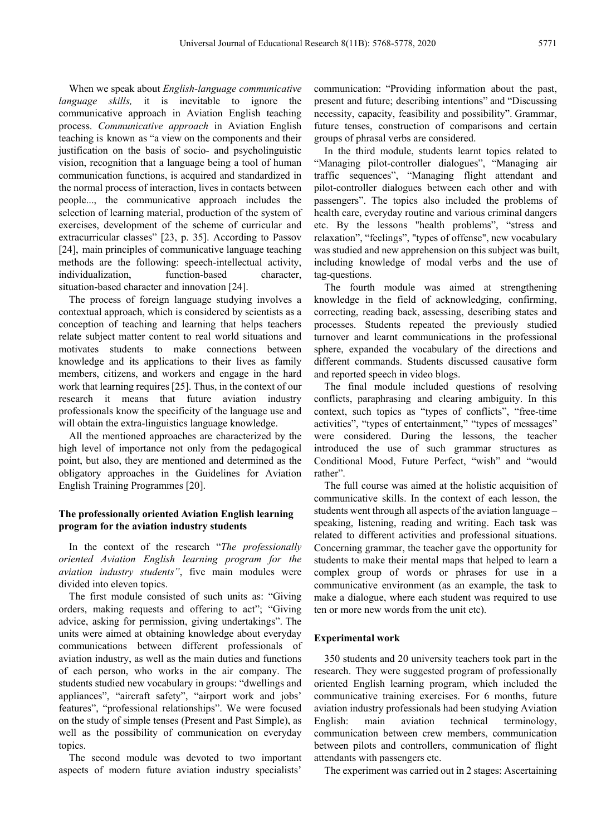When we speak about *English-language communicative language skills,* it is inevitable to ignore the communicative approach in Aviation English teaching process. *Communicative approach* in Aviation English teaching is known as "a view on the components and their justification on the basis of socio- and psycholinguistic vision, recognition that a language being a tool of human communication functions, is acquired and standardized in the normal process of interaction, lives in contacts between people..., the communicative approach includes the selection of learning material, production of the system of exercises, development of the scheme of curricular and extracurricular classes" [23, p. 35]. According to Passov [24], main principles of communicative language teaching methods are the following: speech-intellectual activity, individualization, function-based character, situation-based character and innovation [24].

The process of foreign language studying involves a contextual approach, which is considered by scientists as a conception of teaching and learning that helps teachers relate subject matter content to real world situations and motivates students to make connections between knowledge and its applications to their lives as family members, citizens, and workers and engage in the hard work that learning requires [25]. Thus, in the context of our research it means that future aviation industry professionals know the specificity of the language use and will obtain the extra-linguistics language knowledge.

All the mentioned approaches are characterized by the high level of importance not only from the pedagogical point, but also, they are mentioned and determined as the obligatory approaches in the Guidelines for Aviation English Training Programmes [20].

## **The professionally oriented Aviation English learning program for the aviation industry students**

In the context of the research "*The professionally oriented Aviation English learning program for the aviation industry students"*, five main modules were divided into eleven topics.

The first module consisted of such units as: "Giving orders, making requests and offering to act"; "Giving advice, asking for permission, giving undertakings". The units were aimed at obtaining knowledge about everyday communications between different professionals of aviation industry, as well as the main duties and functions of each person, who works in the air company. The students studied new vocabulary in groups: "dwellings and appliances", "aircraft safety", "airport work and jobs' features", "professional relationships". We were focused on the study of simple tenses (Present and Past Simple), as well as the possibility of communication on everyday topics.

The second module was devoted to two important aspects of modern future aviation industry specialists'

communication: "Providing information about the past, present and future; describing intentions" and "Discussing necessity, capacity, feasibility and possibility". Grammar, future tenses, construction of comparisons and certain groups of phrasal verbs are considered.

In the third module, students learnt topics related to "Managing pilot-controller dialogues", "Managing air traffic sequences", "Managing flight attendant and pilot-controller dialogues between each other and with passengers". The topics also included the problems of health care, everyday routine and various criminal dangers etc. By the lessons "health problems", "stress and relaxation", "feelings", "types of offense", new vocabulary was studied and new apprehension on this subject was built, including knowledge of modal verbs and the use of tag-questions.

The fourth module was aimed at strengthening knowledge in the field of acknowledging, confirming, correcting, reading back, assessing, describing states and processes. Students repeated the previously studied turnover and learnt communications in the professional sphere, expanded the vocabulary of the directions and different commands. Students discussed causative form and reported speech in video blogs.

The final module included questions of resolving conflicts, paraphrasing and clearing ambiguity. In this context, such topics as "types of conflicts", "free-time activities", "types of entertainment," "types of messages" were considered. During the lessons, the teacher introduced the use of such grammar structures as Conditional Mood, Future Perfect, "wish" and "would rather".

The full course was aimed at the holistic acquisition of communicative skills. In the context of each lesson, the students went through all aspects of the aviation language – speaking, listening, reading and writing. Each task was related to different activities and professional situations. Concerning grammar, the teacher gave the opportunity for students to make their mental maps that helped to learn a complex group of words or phrases for use in a communicative environment (as an example, the task to make a dialogue, where each student was required to use ten or more new words from the unit etc).

### **Experimental work**

350 students and 20 university teachers took part in the research. Тhey were suggested program of professionally oriented English learning program, which included the communicative training exercises. For 6 months, future aviation industry professionals had been studying Aviation English: main aviation technical terminology, communication between crew members, communication between pilots and controllers, communication of flight attendants with passengers etc.

The experiment was carried out in 2 stages: Ascertaining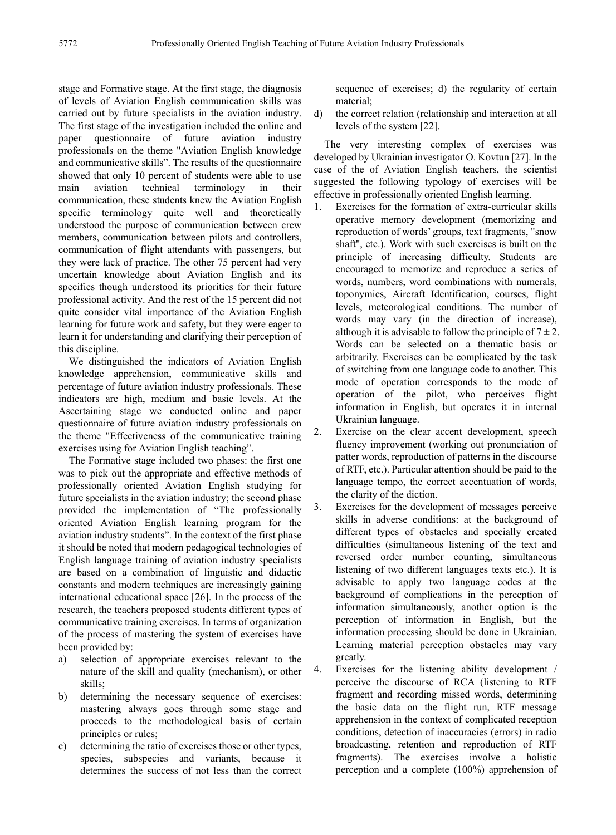stage and Formative stage. At the first stage, the diagnosis of levels of Aviation English communication skills was carried out by future specialists in the aviation industry. The first stage of the investigation included the online and paper questionnaire of future aviation industry professionals on the theme "Aviation English knowledge and communicative skills". The results of the questionnaire showed that only 10 percent of students were able to use main aviation technical terminology in their communication, these students knew the Aviation English specific terminology quite well and theoretically understood the purpose of communication between crew members, communication between pilots and controllers, communication of flight attendants with passengers, but they were lack of practice. The other 75 percent had very uncertain knowledge about Aviation English and its specifics though understood its priorities for their future professional activity. And the rest of the 15 percent did not quite consider vital importance of the Aviation English learning for future work and safety, but they were eager to learn it for understanding and clarifying their perception of this discipline.

We distinguished the indicators of Aviation English knowledge apprehension, communicative skills and percentage of future aviation industry professionals. These indicators are high, medium and basic levels. At the Ascertaining stage we conducted online and paper questionnaire of future aviation industry professionals on the theme "Effectiveness of the communicative training exercises using for Aviation English teaching".

The Formative stage included two phases: the first one was to pick out the appropriate and effective methods of professionally oriented Aviation English studying for future specialists in the aviation industry; the second phase provided the implementation of "The professionally oriented Aviation English learning program for the aviation industry students". In the context of the first phase it should be noted that modern pedagogical technologies of English language training of aviation industry specialists are based on a combination of linguistic and didactic constants and modern techniques are increasingly gaining international educational space [26]. In the process of the research, the teachers proposed students different types of communicative training exercises. In terms of organization of the process of mastering the system of exercises have been provided by:

- a) selection of appropriate exercises relevant to the nature of the skill and quality (mechanism), or other skills;
- b) determining the necessary sequence of exercises: mastering always goes through some stage and proceeds to the methodological basis of certain principles or rules;
- c) determining the ratio of exercises those or other types, species, subspecies and variants, because it determines the success of not less than the correct

sequence of exercises; d) the regularity of certain material;

d) the correct relation (relationship and interaction at all levels of the system [22].

The very interesting complex of exercises was developed by Ukrainian investigator O. Kovtun [27]. In the case of the of Aviation English teachers, the scientist suggested the following typology of exercises will be effective in professionally oriented English learning.

- 1. Exercises for the formation of extra-curricular skills operative memory development (memorizing and reproduction of words' groups, text fragments, "snow shaft", etc.). Work with such exercises is built on the principle of increasing difficulty. Students are encouraged to memorize and reproduce a series of words, numbers, word combinations with numerals, toponymies, Aircraft Identification, courses, flight levels, meteorological conditions. The number of words may vary (in the direction of increase), although it is advisable to follow the principle of  $7 \pm 2$ . Words can be selected on a thematic basis or arbitrarily. Exercises can be complicated by the task of switching from one language code to another. This mode of operation corresponds to the mode of operation of the pilot, who perceives flight information in English, but operates it in internal Ukrainian language.
- 2. Exercise on the clear accent development, speech fluency improvement (working out pronunciation of patter words, reproduction of patterns in the discourse of RTF, etc.). Particular attention should be paid to the language tempo, the correct accentuation of words, the clarity of the diction.
- 3. Exercises for the development of messages perceive skills in adverse conditions: at the background of different types of obstacles and specially created difficulties (simultaneous listening of the text and reversed order number counting, simultaneous listening of two different languages texts etc.). It is advisable to apply two language codes at the background of complications in the perception of information simultaneously, another option is the perception of information in English, but the information processing should be done in Ukrainian. Learning material perception obstacles may vary greatly.

4. Exercises for the listening ability development / perceive the discourse of RCA (listening to RTF fragment and recording missed words, determining the basic data on the flight run, RTF message apprehension in the context of complicated reception conditions, detection of inaccuracies (errors) in radio broadcasting, retention and reproduction of RTF fragments). The exercises involve a holistic perception and a complete (100%) apprehension of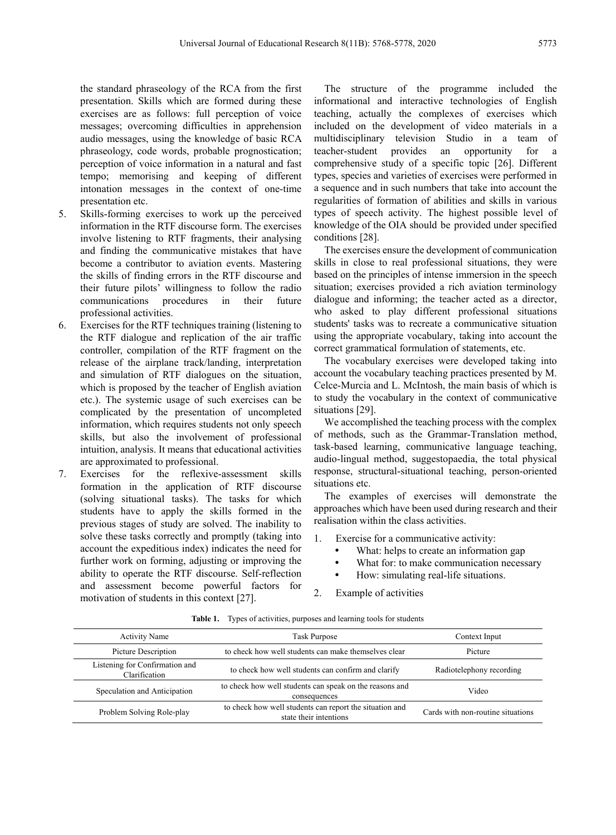the standard phraseology of the RCA from the first presentation. Skills which are formed during these exercises are as follows: full perception of voice messages; overcoming difficulties in apprehension audio messages, using the knowledge of basic RCA phraseology, code words, probable prognostication; perception of voice information in a natural and fast tempo; memorising and keeping of different intonation messages in the context of one-time presentation etc.

- 5. Skills-forming exercises to work up the perceived information in the RTF discourse form. The exercises involve listening to RTF fragments, their analysing and finding the communicative mistakes that have become a contributor to aviation events. Mastering the skills of finding errors in the RTF discourse and their future pilots' willingness to follow the radio communications procedures in their future professional activities.
- 6. Exercises for the RTF techniques training (listening to the RTF dialogue and replication of the air traffic controller, compilation of the RTF fragment on the release of the airplane track/landing, interpretation and simulation of RTF dialogues on the situation, which is proposed by the teacher of English aviation etc.). The systemic usage of such exercises can be complicated by the presentation of uncompleted information, which requires students not only speech skills, but also the involvement of professional intuition, analysis. It means that educational activities are approximated to professional.
- 7. Exercises for the reflexive-assessment skills formation in the application of RTF discourse (solving situational tasks). The tasks for which students have to apply the skills formed in the previous stages of study are solved. The inability to solve these tasks correctly and promptly (taking into account the expeditious index) indicates the need for further work on forming, adjusting or improving the ability to operate the RTF discourse. Self-reflection and assessment become powerful factors for motivation of students in this context [27].

The structure of the programme included the informational and interactive technologies of English teaching, actually the complexes of exercises which included on the development of video materials in a multidisciplinary television Studio in a team of teacher-student provides an opportunity for a comprehensive study of a specific topic [26]. Different types, species and varieties of exercises were performed in a sequence and in such numbers that take into account the regularities of formation of abilities and skills in various types of speech activity. The highest possible level of knowledge of the OIA should be provided under specified conditions [28].

The exercises ensure the development of communication skills in close to real professional situations, they were based on the principles of intense immersion in the speech situation; exercises provided a rich aviation terminology dialogue and informing; the teacher acted as a director, who asked to play different professional situations students' tasks was to recreate a communicative situation using the appropriate vocabulary, taking into account the correct grammatical formulation of statements, etc.

The vocabulary exercises were developed taking into account the vocabulary teaching practices presented by M. Celce-Murcia and L. McIntosh, the main basis of which is to study the vocabulary in the context of communicative situations [29].

We accomplished the teaching process with the complex of methods, such as the Grammar-Translation method, task-based learning, communicative language teaching, audio-lingual method, suggestopaedia, the total physical response, structural-situational teaching, person-oriented situations etc.

The examples of exercises will demonstrate the approaches which have been used during research and their realisation within the class activities.

1. Exercise for a communicative activity:

- What: helps to create an information gap
- What for: to make communication necessary
- How: simulating real-life situations.
- 2. Example of activities

| <b>Activity Name</b>                            | Task Purpose                                                                      |                                   |  |
|-------------------------------------------------|-----------------------------------------------------------------------------------|-----------------------------------|--|
| Picture Description                             | to check how well students can make themselves clear                              |                                   |  |
| Listening for Confirmation and<br>Clarification | to check how well students can confirm and clarify                                | Radiotelephony recording          |  |
| Speculation and Anticipation                    | to check how well students can speak on the reasons and<br>consequences           | Video                             |  |
| Problem Solving Role-play                       | to check how well students can report the situation and<br>state their intentions | Cards with non-routine situations |  |

**Table 1.** Types of activities, purposes and learning tools for students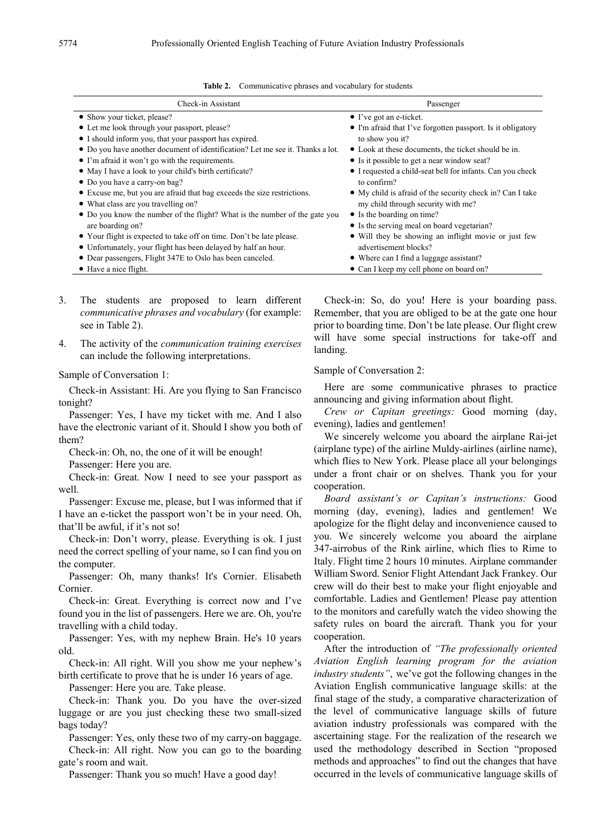| Check-in Assistant                                                             | Passenger                                                   |  |  |
|--------------------------------------------------------------------------------|-------------------------------------------------------------|--|--|
| • Show your ticket, please?                                                    | $\bullet$ I've got an e-ticket.                             |  |  |
| • Let me look through your passport, please?                                   | • I'm afraid that I've forgotten passport. Is it obligatory |  |  |
| • I should inform you, that your passport has expired.                         | to show you it?                                             |  |  |
| • Do you have another document of identification? Let me see it. Thanks a lot. | • Look at these documents, the ticket should be in.         |  |  |
| • I'm afraid it won't go with the requirements.                                | • Is it possible to get a near window seat?                 |  |  |
| • May I have a look to your child's birth certificate?                         | • I requested a child-seat bell for infants. Can you check  |  |  |
| • Do you have a carry-on bag?                                                  | to confirm?                                                 |  |  |
| • Excuse me, but you are afraid that bag exceeds the size restrictions.        | • My child is a fraid of the security check in? Can I take  |  |  |
| • What class are you travelling on?                                            | my child through security with me?                          |  |  |
| • Do you know the number of the flight? What is the number of the gate you     | • Is the boarding on time?                                  |  |  |
| are boarding on?                                                               | • Is the serving meal on board vegetarian?                  |  |  |
| • Your flight is expected to take off on time. Don't be late please.           | • Will they be showing an inflight movie or just few        |  |  |
| • Unfortunately, your flight has been delayed by half an hour.                 | advertisement blocks?                                       |  |  |
| • Dear passengers, Flight 347E to Oslo has been canceled.                      | • Where can I find a luggage assistant?                     |  |  |
| • Have a nice flight.                                                          | • Can I keep my cell phone on board on?                     |  |  |

| <b>Table 2.</b> Communicative phrases and vocabulary for students |  |
|-------------------------------------------------------------------|--|
|-------------------------------------------------------------------|--|

- 3. The students are proposed to learn different *communicative phrases and vocabulary* (for example: see in Table 2).
- 4. The activity of the *communication training exercises* can include the following interpretations.

Sample of Conversation 1:

Check-in Assistant: Hi. Are you flying to San Francisco tonight?

Passenger: Yes, I have my ticket with me. And I also have the electronic variant of it. Should I show you both of them?

Check-in: Oh, no, the one of it will be enough!

Passenger: Here you are.

Check-in: Great. Now I need to see your passport as well.

Passenger: Excuse me, please, but I was informed that if I have an e-ticket the passport won't be in your need. Oh, that'll be awful, if it's not so!

Check-in: Don't worry, please. Everything is ok. I just need the correct spelling of your name, so I can find you on the computer.

Passenger: Oh, many thanks! It's Cornier. Elisabeth Cornier.

Check-in: Great. Everything is correct now and I've found you in the list of passengers. Here we are. Oh, you're travelling with a child today.

Passenger: Yes, with my nephew Brain. He's 10 years old.

Check-in: All right. Will you show me your nephew's birth certificate to prove that he is under 16 years of age.

Passenger: Here you are. Take please.

Check-in: Thank you. Do you have the over-sized luggage or are you just checking these two small-sized bags today?

Passenger: Yes, only these two of my carry-on baggage. Check-in: All right. Now you can go to the boarding gate's room and wait.

Passenger: Thank you so much! Have a good day!

Check-in: So, do you! Here is your boarding pass. Remember, that you are obliged to be at the gate one hour prior to boarding time. Don't be late please. Our flight crew will have some special instructions for take-off and landing.

### Sample of Conversation 2:

Here are some communicative phrases to practice announcing and giving information about flight.

*Crew or Capitan greetings:* Good morning (day, evening), ladies and gentlemen!

We sincerely welcome you aboard the airplane Rai-jet (airplane type) of the airline Muldy-airlines (airline name), which flies to New York. Please place all your belongings under a front chair or on shelves. Thank you for your cooperation.

*Board assistant's or Capitan's instructions:* Good morning (day, evening), ladies and gentlemen! We apologize for the flight delay and inconvenience caused to you. We sincerely welcome you aboard the airplane 347-airrobus of the Rink airline, which flies to Rime to Italy. Flight time 2 hours 10 minutes. Airplane commander William Sword. Senior Flight Attendant Jack Frankey. Our crew will do their best to make your flight enjoyable and comfortable. Ladies and Gentlemen! Please pay attention to the monitors and carefully watch the video showing the safety rules on board the aircraft. Thank you for your cooperation.

After the introduction of *"The professionally oriented Aviation English learning program for the aviation industry students"*, we've got the following changes in the Aviation English communicative language skills: at the final stage of the study, a comparative characterization of the level of communicative language skills of future aviation industry professionals was compared with the ascertaining stage. For the realization of the research we used the methodology described in Section "proposed methods and approaches" to find out the changes that have occurred in the levels of communicative language skills of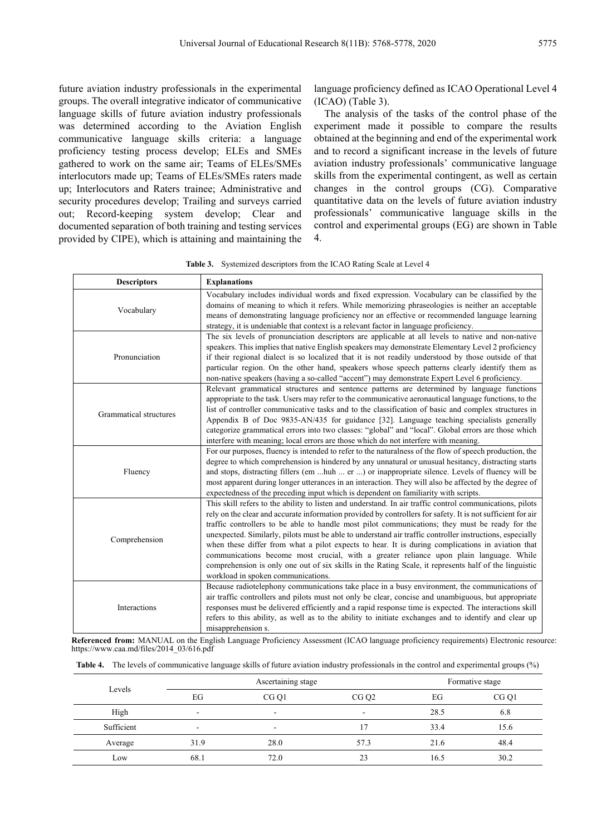future aviation industry professionals in the experimental groups. The overall integrative indicator of communicative language skills of future aviation industry professionals was determined according to the Aviation English communicative language skills criteria: a language proficiency testing process develop; ELEs and SMEs gathered to work on the same air; Teams of ELEs/SMEs interlocutors made up; Teams of ELEs/SMEs raters made up; Interlocutors and Raters trainee; Administrative and security procedures develop; Trailing and surveys carried out; Record-keeping system develop; Clear and documented separation of both training and testing services provided by CIPE), which is attaining and maintaining the

language proficiency defined as ICAO Operational Level 4 (ICAO) (Table 3).

The analysis of the tasks of the control phase of the experiment made it possible to compare the results obtained at the beginning and end of the experimental work and to record a significant increase in the levels of future aviation industry professionals' communicative language skills from the experimental contingent, as well as certain changes in the control groups (CG). Comparative quantitative data on the levels of future aviation industry professionals' communicative language skills in the control and experimental groups (EG) are shown in Table 4.

**Table 3.** Systemized descriptors from the ICAO Rating Scale at Level 4

| <b>Descriptors</b>     | <b>Explanations</b>                                                                                                                                                                                                                                                                                                                                                                                                                                                                                                                                                                                                                                                                                                                                                                |  |  |
|------------------------|------------------------------------------------------------------------------------------------------------------------------------------------------------------------------------------------------------------------------------------------------------------------------------------------------------------------------------------------------------------------------------------------------------------------------------------------------------------------------------------------------------------------------------------------------------------------------------------------------------------------------------------------------------------------------------------------------------------------------------------------------------------------------------|--|--|
| Vocabulary             | Vocabulary includes individual words and fixed expression. Vocabulary can be classified by the<br>domains of meaning to which it refers. While memorizing phraseologies is neither an acceptable<br>means of demonstrating language proficiency nor an effective or recommended language learning<br>strategy, it is undeniable that context is a relevant factor in language proficiency.                                                                                                                                                                                                                                                                                                                                                                                         |  |  |
| Pronunciation          | The six levels of pronunciation descriptors are applicable at all levels to native and non-native<br>speakers. This implies that native English speakers may demonstrate Elementary Level 2 proficiency<br>if their regional dialect is so localized that it is not readily understood by those outside of that<br>particular region. On the other hand, speakers whose speech patterns clearly identify them as<br>non-native speakers (having a so-called "accent") may demonstrate Expert Level 6 proficiency.                                                                                                                                                                                                                                                                  |  |  |
| Grammatical structures | Relevant grammatical structures and sentence patterns are determined by language functions<br>appropriate to the task. Users may refer to the communicative aeronautical language functions, to the<br>list of controller communicative tasks and to the classification of basic and complex structures in<br>Appendix B of Doc 9835-AN/435 for guidance [32]. Language teaching specialists generally<br>categorize grammatical errors into two classes: "global" and "local". Global errors are those which<br>interfere with meaning; local errors are those which do not interfere with meaning.                                                                                                                                                                               |  |  |
| Fluency                | For our purposes, fluency is intended to refer to the naturalness of the flow of speech production, the<br>degree to which comprehension is hindered by any unnatural or unusual hesitancy, distracting starts<br>and stops, distracting fillers (em huh  er ) or inappropriate silence. Levels of fluency will be<br>most apparent during longer utterances in an interaction. They will also be affected by the degree of<br>expectedness of the preceding input which is dependent on familiarity with scripts.                                                                                                                                                                                                                                                                 |  |  |
| Comprehension          | This skill refers to the ability to listen and understand. In air traffic control communications, pilots<br>rely on the clear and accurate information provided by controllers for safety. It is not sufficient for air<br>traffic controllers to be able to handle most pilot communications; they must be ready for the<br>unexpected. Similarly, pilots must be able to understand air traffic controller instructions, especially<br>when these differ from what a pilot expects to hear. It is during complications in aviation that<br>communications become most crucial, with a greater reliance upon plain language. While<br>comprehension is only one out of six skills in the Rating Scale, it represents half of the linguistic<br>workload in spoken communications. |  |  |
| Interactions           | Because radiotelephony communications take place in a busy environment, the communications of<br>air traffic controllers and pilots must not only be clear, concise and unambiguous, but appropriate<br>responses must be delivered efficiently and a rapid response time is expected. The interactions skill<br>refers to this ability, as well as to the ability to initiate exchanges and to identify and clear up<br>misapprehension s.                                                                                                                                                                                                                                                                                                                                        |  |  |

**Referenced from:** MANUAL on the English Language Proficiency Assessment (ICAO language proficiency requirements) Electronic resource: https://www.caa.md/files/2014\_03/616.pdf

|  |  |  |  | Table 4. The levels of communicative language skills of future aviation industry professionals in the control and experimental groups (%) |  |
|--|--|--|--|-------------------------------------------------------------------------------------------------------------------------------------------|--|
|--|--|--|--|-------------------------------------------------------------------------------------------------------------------------------------------|--|

| Levels     |      | Ascertaining stage       |                  |      | Formative stage  |
|------------|------|--------------------------|------------------|------|------------------|
|            | EG   | CG <sub>O1</sub>         | CG <sub>Q2</sub> | EG   | CG <sub>Q1</sub> |
| High       | -    | ۰                        |                  | 28.5 | 6.8              |
| Sufficient | ۰    | $\overline{\phantom{a}}$ | 17               | 33.4 | 15.6             |
| Average    | 31.9 | 28.0                     | 57.3             | 21.6 | 48.4             |
| Low        | 68.1 | 72.0                     | 23               | 16.5 | 30.2             |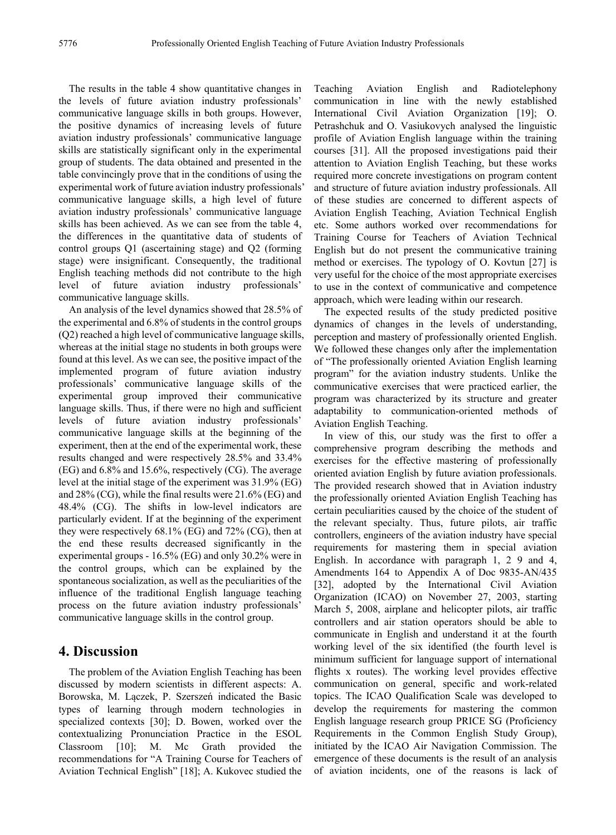The results in the table 4 show quantitative changes in the levels of future aviation industry professionals' communicative language skills in both groups. However, the positive dynamics of increasing levels of future aviation industry professionals' communicative language skills are statistically significant only in the experimental group of students. The data obtained and presented in the table convincingly prove that in the conditions of using the experimental work of future aviation industry professionals' communicative language skills, a high level of future aviation industry professionals' communicative language skills has been achieved. As we can see from the table 4, the differences in the quantitative data of students of control groups Q1 (ascertaining stage) and Q2 (forming stage) were insignificant. Consequently, the traditional English teaching methods did not contribute to the high level of future aviation industry professionals' communicative language skills.

An analysis of the level dynamics showed that 28.5% of the experimental and 6.8% of students in the control groups (Q2) reached a high level of communicative language skills, whereas at the initial stage no students in both groups were found at this level. As we can see, the positive impact of the implemented program of future aviation industry professionals' communicative language skills of the experimental group improved their communicative language skills. Thus, if there were no high and sufficient levels of future aviation industry professionals' communicative language skills at the beginning of the experiment, then at the end of the experimental work, these results changed and were respectively 28.5% and 33.4% (EG) and 6.8% and 15.6%, respectively (CG). The average level at the initial stage of the experiment was 31.9% (EG) and 28% (CG), while the final results were 21.6% (EG) and 48.4% (CG). The shifts in low-level indicators are particularly evident. If at the beginning of the experiment they were respectively 68.1% (EG) and 72% (CG), then at the end these results decreased significantly in the experimental groups - 16.5% (EG) and only 30.2% were in the control groups, which can be explained by the spontaneous socialization, as well as the peculiarities of the influence of the traditional English language teaching process on the future aviation industry professionals' communicative language skills in the control group.

## **4. Discussion**

The problem of the Aviation English Teaching has been discussed by modern scientists in different aspects: A. Borowska, M. Lączek, P. Szerszeń indicated the Basic types of learning through modern technologies in specialized contexts [30]; D. Bowen, worked over the contextualizing Pronunciation Practice in the ESOL Classroom [10]; M. Mc Grath provided the recommendations for "A Training Course for Teachers of Aviation Technical English" [18]; A. Kukovec studied the

Teaching Aviation English and Radiotelephony communication in line with the newly established International Civil Aviation Organization [19]; O. Petrashchuk and O. Vasiukovych analysed the linguistic profile of Aviation English language within the training courses [31]. All the proposed investigations paid their attention to Aviation English Teaching, but these works required more concrete investigations on program content and structure of future aviation industry professionals. All of these studies are concerned to different aspects of Aviation English Teaching, Aviation Technical English etc. Some authors worked over recommendations for Training Course for Teachers of Aviation Technical English but do not present the communicative training method or exercises. The typology of O. Kovtun [27] is very useful for the choice of the most appropriate exercises to use in the context of communicative and competence approach, which were leading within our research.

The expected results of the study predicted positive dynamics of changes in the levels of understanding, perception and mastery of professionally oriented English. We followed these changes only after the implementation of "The professionally oriented Aviation English learning program" for the aviation industry students. Unlike the communicative exercises that were practiced earlier, the program was characterized by its structure and greater adaptability to communication-oriented methods of Aviation English Teaching.

In view of this, our study was the first to offer a comprehensive program describing the methods and exercises for the effective mastering of professionally oriented aviation English by future aviation professionals. The provided research showed that in Aviation industry the professionally oriented Aviation English Teaching has certain peculiarities caused by the choice of the student of the relevant specialty. Thus, future pilots, air traffic controllers, engineers of the aviation industry have special requirements for mastering them in special aviation English. In accordance with paragraph 1, 2 9 and 4, Amendments 164 to Appendix A of Doc 9835-AN/435 [32], adopted by the International Civil Aviation Organization (ICAO) on November 27, 2003, starting March 5, 2008, airplane and helicopter pilots, air traffic controllers and air station operators should be able to communicate in English and understand it at the fourth working level of the six identified (the fourth level is minimum sufficient for language support of international flights x routes). The working level provides effective communication on general, specific and work-related topics. The ICAO Qualification Scale was developed to develop the requirements for mastering the common English language research group PRICE SG (Proficiency Requirements in the Common English Study Group), initiated by the ICAO Air Navigation Commission. The emergence of these documents is the result of an analysis of aviation incidents, one of the reasons is lack of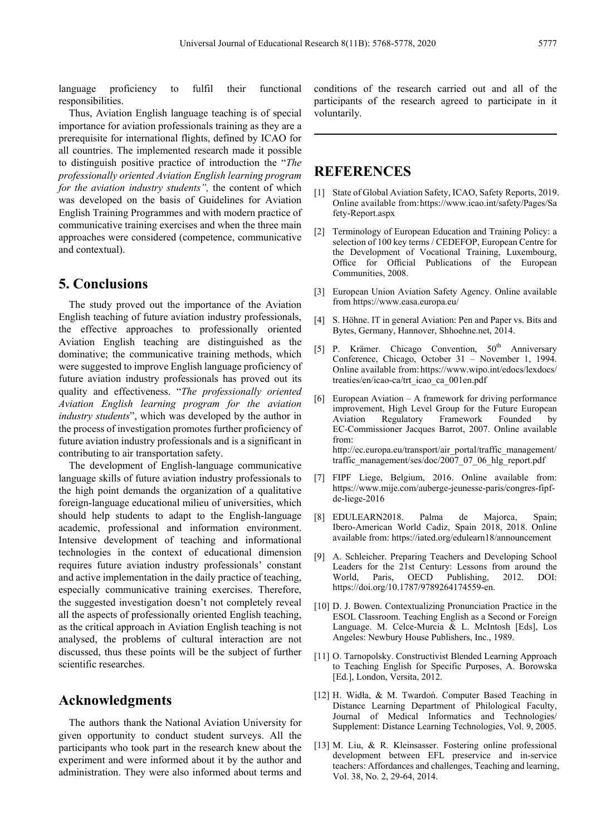language proficiency to fulfil their functional responsibilities.

Thus, Aviation English language teaching is of special importance for aviation professionals training as they are a prerequisite for international flights, defined by ICAO for all countries. The implemented research made it possible to distinguish positive practice of introduction the "*The professionally oriented Aviation English learning program for the aviation industry students",* the content of which was developed on the basis of Guidelines for Aviation English Training Programmes and with modern practice of communicative training exercises and when the three main approaches were considered (competence, communicative and contextual).

# **5. Conclusions**

The study proved out the importance of the Aviation English teaching of future aviation industry professionals, the effective approaches to professionally oriented Aviation English teaching are distinguished as the dominative; the communicative training methods, which were suggested to improve English language proficiency of future aviation industry professionals has proved out its quality and effectiveness. "*The professionally oriented Aviation English learning program for the aviation industry students*", which was developed by the author in the process of investigation promotes further proficiency of future aviation industry professionals and is a significant in contributing to air transportation safety.

The development of English-language communicative language skills of future aviation industry professionals to the high point demands the organization of a qualitative foreign-language educational milieu of universities, which should help students to adapt to the English-language academic, professional and information environment. Intensive development of teaching and informational technologies in the context of educational dimension requires future aviation industry professionals' constant and active implementation in the daily practice of teaching, especially communicative training exercises. Therefore, the suggested investigation doesn't not completely reveal all the aspects of professionally oriented English teaching, as the critical approach in Aviation English teaching is not analysed, the problems of cultural interaction are not discussed, thus these points will be the subject of further scientific researches.

# **Acknowledgments**

The authors thank the National Aviation University for given opportunity to conduct student surveys. All the participants who took part in the research knew about the experiment and were informed about it by the author and administration. They were also informed about terms and

conditions of the research carried out and all of the participants of the research agreed to participate in it voluntarily.

# **REFERENCES**

- [1] State of Global Aviation Safety, ICAO, Safety Reports, 2019. Online available from:https://www.icao.int/safety/Pages/Sa fety-Report.aspx
- [2] Terminology of European Education and Training Policy: a selection of 100 key terms / CEDEFOP, European Centre for the Development of Vocational Training, Luxembourg, Office for Official Publications of the European Communities, 2008.
- [3] European Union Aviation Safety Agency. Online available from https://www.easa.europa.eu/
- [4] S. Höhne. IT in general Aviation: Pen and Paper vs. Bits and Bytes, Germany, Hannover, Shhoehne.net, 2014.
- [5] P. Krämer. Chicago Convention, 50<sup>th</sup> Anniversary Conference, Chicago, October 31 – November 1, 1994. Online available from: https://www.wipo.int/edocs/lexdocs/ treaties/en/icao-ca/trt\_icao\_ca\_001en.pdf
- [6] European Aviation A framework for driving performance improvement, High Level Group for the Future European Aviation Regulatory Framework Founded by EC-Commissioner Jacques Barrot, 2007. Online available from: http://ec.europa.eu/transport/air\_portal/traffic\_management/ traffic\_management/ses/doc/2007\_07\_06\_hlg\_report.pdf
- [7] FIPF Liege, Belgium, 2016. Online available from: https://www.mije.com/auberge-jeunesse-paris/congres-fipfde-liege-2016
- [8] EDULEARN2018. Palma de Majorca, Spain; Ibero-American World Cadiz, Spain 2018, 2018. Online available from: https://iated.org/edulearn18/announcement
- [9] A. Schleicher. Preparing Teachers and Developing School Leaders for the 21st Century: Lessons from around the World, Paris, OECD Publishing, 2012. DOI: https://doi.org/10.1787/9789264174559-en.
- [10] D. J. Bowen. Contextualizing Pronunciation Practice in the ESOL Classroom. Teaching English as a Second or Foreign Language. M. Celce-Murcia & L. McIntosh [Eds], Los Angeles: Newbury House Publishers, Inc., 1989.
- [11] O. Tarnopolsky. Constructivist Blended Learning Approach to Teaching English for Specific Purposes, A. Borowska [Ed.], London, Versita, 2012.
- [12] H. Widła, & M. Twardoń. Computer Based Teaching in Distance Learning Department of Philological Faculty, Journal of Medical Informatics and Technologies/ Supplement: Distance Learning Technologies, Vol. 9, 2005.
- [13] M. Liu, & R. Kleinsasser. Fostering online professional development between EFL preservice and in-service teachers: Affordances and challenges, Teaching and learning, Vol. 38, No. 2, 29-64, 2014.